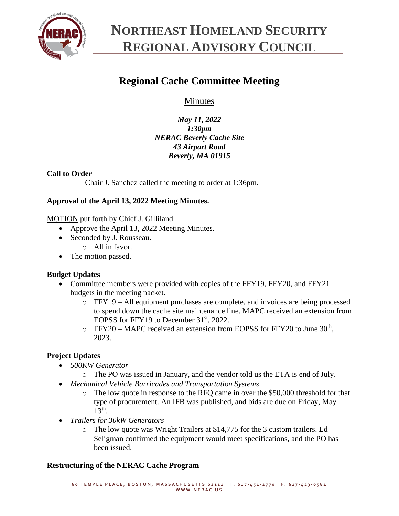

## **NORTHEAST HOMELAND SECURITY REGIONAL ADVISORY COUNCIL**

## **Regional Cache Committee Meeting**

Minutes

*May 11, 2022 1:30pm NERAC Beverly Cache Site 43 Airport Road Beverly, MA 01915*

### **Call to Order**

Chair J. Sanchez called the meeting to order at 1:36pm.

### **Approval of the April 13, 2022 Meeting Minutes.**

MOTION put forth by Chief J. Gilliland.

- Approve the April 13, 2022 Meeting Minutes.
- Seconded by J. Rousseau.
	- o All in favor.
- The motion passed.

### **Budget Updates**

- Committee members were provided with copies of the FFY19, FFY20, and FFY21 budgets in the meeting packet.
	- o FFY19 All equipment purchases are complete, and invoices are being processed to spend down the cache site maintenance line. MAPC received an extension from EOPSS for FFY19 to December 31<sup>st</sup>, 2022.
	- $\circ$  FFY20 MAPC received an extension from EOPSS for FFY20 to June 30<sup>th</sup>, 2023.

### **Project Updates**

- *500KW Generator*
	- o The PO was issued in January, and the vendor told us the ETA is end of July.
- *Mechanical Vehicle Barricades and Transportation Systems*
	- o The low quote in response to the RFQ came in over the \$50,000 threshold for that type of procurement. An IFB was published, and bids are due on Friday, May  $13^{th}$ .
- *Trailers for 30kW Generators*
	- o The low quote was Wright Trailers at \$14,775 for the 3 custom trailers. Ed Seligman confirmed the equipment would meet specifications, and the PO has been issued.

### **Restructuring of the NERAC Cache Program**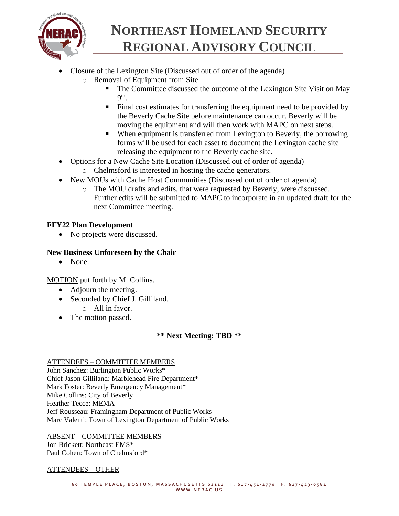

# **NORTHEAST HOMELAND SECURITY REGIONAL ADVISORY COUNCIL**

- Closure of the Lexington Site (Discussed out of order of the agenda)
	- o Removal of Equipment from Site
		- The Committee discussed the outcome of the Lexington Site Visit on May  $9^{\text{th}}$ .
		- Final cost estimates for transferring the equipment need to be provided by the Beverly Cache Site before maintenance can occur. Beverly will be moving the equipment and will then work with MAPC on next steps.
		- When equipment is transferred from Lexington to Beverly, the borrowing forms will be used for each asset to document the Lexington cache site releasing the equipment to the Beverly cache site.
- Options for a New Cache Site Location (Discussed out of order of agenda) o Chelmsford is interested in hosting the cache generators.
- New MOUs with Cache Host Communities (Discussed out of order of agenda)
	- o The MOU drafts and edits, that were requested by Beverly, were discussed. Further edits will be submitted to MAPC to incorporate in an updated draft for the next Committee meeting.

## **FFY22 Plan Development**

• No projects were discussed.

## **New Business Unforeseen by the Chair**

• None.

MOTION put forth by M. Collins.

- Adjourn the meeting.
- Seconded by Chief J. Gilliland.
	- o All in favor.
- The motion passed.

## **\*\* Next Meeting: TBD \*\***

### ATTENDEES – COMMITTEE MEMBERS

John Sanchez: Burlington Public Works\* Chief Jason Gilliland: Marblehead Fire Department\* Mark Foster: Beverly Emergency Management\* Mike Collins: City of Beverly Heather Tecce: MEMA Jeff Rousseau: Framingham Department of Public Works Marc Valenti: Town of Lexington Department of Public Works

ABSENT – COMMITTEE MEMBERS

Jon Brickett: Northeast EMS\* Paul Cohen: Town of Chelmsford\*

### ATTENDEES – OTHER